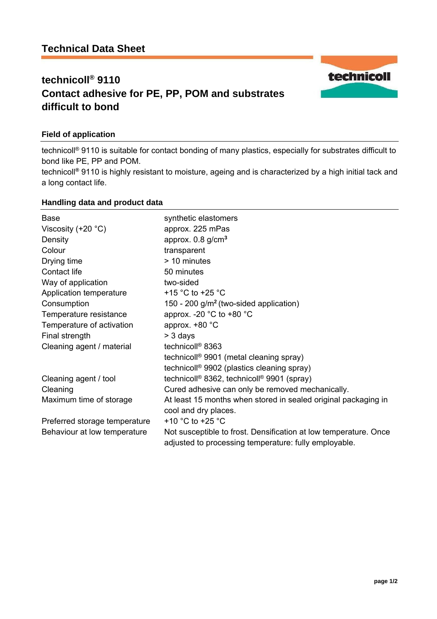# **technicoll® 9110 Contact adhesive for PE, PP, POM and substrates difficult to bond**

## **Field of application**

technicoll® 9110 is suitable for contact bonding of many plastics, especially for substrates difficult to bond like PE, PP and POM.

technicoll**®** 9110 is highly resistant to moisture, ageing and is characterized by a high initial tack and a long contact life.

### **Handling data and product data**

| Base                          | synthetic elastomers                                                                                                      |
|-------------------------------|---------------------------------------------------------------------------------------------------------------------------|
| Viscosity $(+20 °C)$          | approx. 225 mPas                                                                                                          |
| Density                       | approx. $0.8$ g/cm <sup>3</sup>                                                                                           |
| Colour                        | transparent                                                                                                               |
| Drying time                   | > 10 minutes                                                                                                              |
| Contact life                  | 50 minutes                                                                                                                |
| Way of application            | two-sided                                                                                                                 |
| Application temperature       | +15 $\degree$ C to +25 $\degree$ C                                                                                        |
| Consumption                   | 150 - 200 g/m <sup>2</sup> (two-sided application)                                                                        |
| Temperature resistance        | approx. -20 $^{\circ}$ C to +80 $^{\circ}$ C                                                                              |
| Temperature of activation     | approx. +80 °C                                                                                                            |
| Final strength                | $> 3$ days                                                                                                                |
| Cleaning agent / material     | technicoll <sup>®</sup> 8363                                                                                              |
|                               | technicoll <sup>®</sup> 9901 (metal cleaning spray)                                                                       |
|                               | technicoll <sup>®</sup> 9902 (plastics cleaning spray)                                                                    |
| Cleaning agent / tool         | technicoll <sup>®</sup> 8362, technicoll <sup>®</sup> 9901 (spray)                                                        |
| Cleaning                      | Cured adhesive can only be removed mechanically.                                                                          |
| Maximum time of storage       | At least 15 months when stored in sealed original packaging in<br>cool and dry places.                                    |
| Preferred storage temperature | +10 $^{\circ}$ C to +25 $^{\circ}$ C                                                                                      |
| Behaviour at low temperature  | Not susceptible to frost. Densification at low temperature. Once<br>adjusted to processing temperature: fully employable. |

technicoll